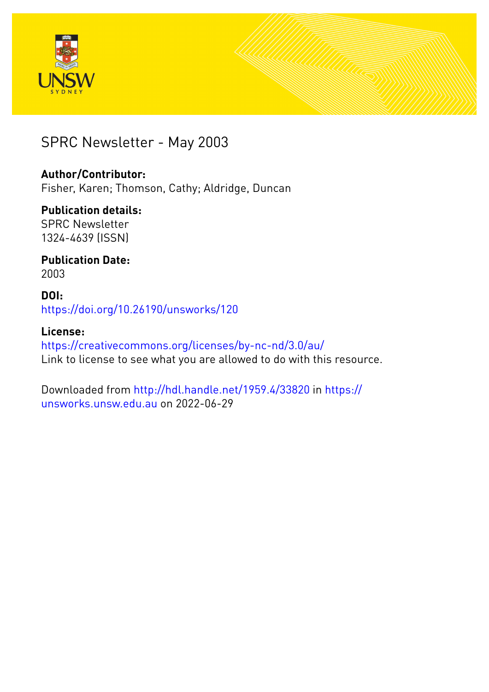



## SPRC Newsletter - May 2003

#### **Author/Contributor:**

Fisher, Karen; Thomson, Cathy; Aldridge, Duncan

### **Publication details:**

SPRC Newsletter 1324-4639 (ISSN)

#### **Publication Date:** 2003

#### **DOI:** [https://doi.org/10.26190/unsworks/120](http://dx.doi.org/https://doi.org/10.26190/unsworks/120)

### **License:**

<https://creativecommons.org/licenses/by-nc-nd/3.0/au/> Link to license to see what you are allowed to do with this resource.

Downloaded from <http://hdl.handle.net/1959.4/33820> in [https://](https://unsworks.unsw.edu.au) [unsworks.unsw.edu.au](https://unsworks.unsw.edu.au) on 2022-06-29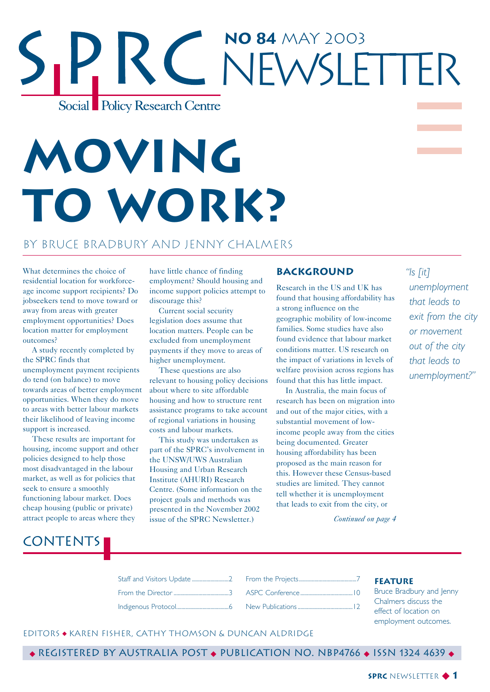## **No 84** May 2003 NEWSI FTTFR Social Policy Research Centre

# **MOVING TO WORK?**

#### by Bruce Bradbury and Jenny Chalmers

What determines the choice of residential location for workforceage income support recipients? Do jobseekers tend to move toward or away from areas with greater employment opportunities? Does location matter for employment outcomes?

A study recently completed by the SPRC finds that unemployment payment recipients do tend (on balance) to move towards areas of better employment opportunities. When they do move to areas with better labour markets their likelihood of leaving income support is increased.

These results are important for housing, income support and other policies designed to help those most disadvantaged in the labour market, as well as for policies that seek to ensure a smoothly functioning labour market. Does cheap housing (public or private) attract people to areas where they

**CONTENTS** 

have little chance of finding employment? Should housing and income support policies attempt to discourage this?

Current social security legislation does assume that location matters. People can be excluded from unemployment payments if they move to areas of higher unemployment.

These questions are also relevant to housing policy decisions about where to site affordable housing and how to structure rent assistance programs to take account of regional variations in housing costs and labour markets.

This study was undertaken as part of the SPRC's involvement in the UNSW/UWS Australian Housing and Urban Research Institute (AHURI) Research Centre. (Some information on the project goals and methods was presented in the November 2002 issue of the SPRC Newsletter.)

#### **BACKGROUND**

Research in the US and UK has found that housing affordability has a strong influence on the geographic mobility of low-income families. Some studies have also found evidence that labour market conditions matter. US research on the impact of variations in levels of welfare provision across regions has found that this has little impact.

In Australia, the main focus of research has been on migration into and out of the major cities, with a substantial movement of lowincome people away from the cities being documented. Greater housing affordability has been proposed as the main reason for this. However these Census-based studies are limited. They cannot tell whether it is unemployment that leads to exit from the city, or

*"Is [it]*

*unemployment that leads to exit from the city or movement out of the city that leads to unemployment?"*

*Continued on page 4*

|  | Bruce Bradbury and Jenny                      |
|--|-----------------------------------------------|
|  | Chalmers discuss the<br>effect of location on |

#### EditorS ◆ Karen Fisher, Cathy Thomson & Duncan Aldridge

◆ Registered by Australia Post ◆ Publication No. NBP4766 ◆ ISSN 1324 4639 ◆

#### **SPRC** NEWSLETTER ◆ **1**

employment outcomes.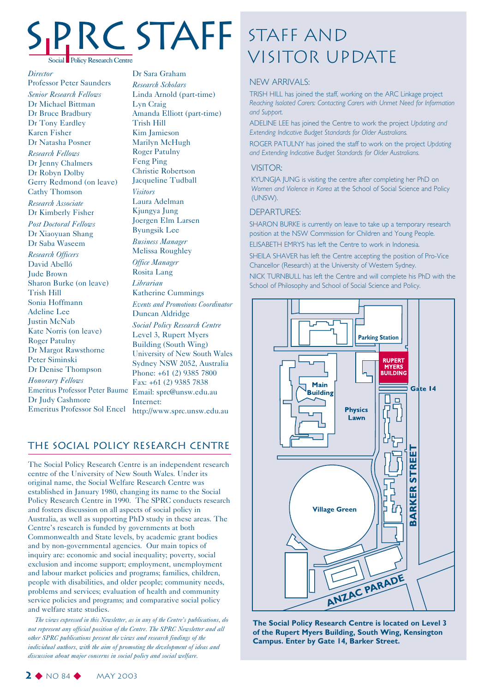# Social Policy Research Centre

*Director* Professor Peter Saunders *Senior Research Fellows* Dr Michael Bittman

Dr Bruce Bradbury Dr Tony Eardley Karen Fisher Dr Natasha Posner *Research Fellows* Dr Jenny Chalmers Dr Robyn Dolby Gerry Redmond (on leave) Cathy Thomson *Research Associate* Dr Kimberly Fisher *Post Doctoral Fellows* Dr Xiaoyuan Shang Dr Saba Waseem *Research Officers* David Abelló Jude Brown Sharon Burke (on leave) Trish Hill Sonia Hoffmann Adeline Lee Justin McNab Kate Norris (on leave) Roger Patulny Dr Margot Rawsthorne Peter Siminski Dr Denise Thompson *Honorary Fellows* Emeritus Professor Peter Baume Email: sprc@unsw.edu.au Dr Judy Cashmore Emeritus Professor Sol Encel http://www.sprc.unsw.edu.au

Dr Sara Graham *Research Scholars* Linda Arnold (part-time) Lyn Craig Amanda Elliott (part-time) Trish Hill Kim Jamieson Marilyn McHugh Roger Patulny Feng Ping Christie Robertson Jacqueline Tudball *Visitors* Laura Adelman Kjungya Jung Joergen Elm Larsen Byungsik Lee *Business Manager* Melissa Roughley *Office Manager* Rosita Lang *Librarian* Katherine Cummings *Events and Promotions Coordinator* Duncan Aldridge *Social Policy Research Centre* Level 3, Rupert Myers Building (South Wing) University of New South Wales Sydney NSW 2052, Australia Phone: +61 (2) 9385 7800 Fax: +61 (2) 9385 7838 Internet:

#### The Social Policy Research Centre

The Social Policy Research Centre is an independent research centre of the University of New South Wales. Under its original name, the Social Welfare Research Centre was established in January 1980, changing its name to the Social Policy Research Centre in 1990. The SPRC conducts research and fosters discussion on all aspects of social policy in Australia, as well as supporting PhD study in these areas. The Centre's research is funded by governments at both Commonwealth and State levels, by academic grant bodies and by non-governmental agencies. Our main topics of inquiry are: economic and social inequality; poverty, social exclusion and income support; employment, unemployment and labour market policies and programs; families, children, people with disabilities, and older people; community needs, problems and services; evaluation of health and community service policies and programs; and comparative social policy and welfare state studies.

*The views expressed in this Newsletter, as in any of the Centre's publications, do not represent any official position of the Centre. The SPRC Newsletter and all other SPRC publications present the views and research findings of the individual authors, with the aim of promoting the development of ideas and discussion about major concerns in social policy and social welfare.*

## Staff and STAFF STAFF AND<br>VISITOR UPDATE

#### NEW ARRIVALS:

TRISH HILL has joined the staff, working on the ARC Linkage project *Reaching Isolated Carers: Contacting Carers with Unmet Need for Information and Support.*

ADELINE LEE has joined the Centre to work the project *Updating and Extending Indicative Budget Standards for Older Australians.*

ROGER PATULNY has joined the staff to work on the project *Updating and Extending Indicative Budget Standards for Older Australians.*

#### VISITOR:

KYUNGJA JUNG is visiting the centre after completing her PhD on *Women and Violence in Korea* at the School of Social Science and Policy (UNSW).

#### DEPARTURES:

SHARON BURKE is currently on leave to take up a temporary research position at the NSW Commission for Children and Young People.

ELISABETH EMRYS has left the Centre to work in Indonesia.

SHEILA SHAVER has left the Centre accepting the position of Pro-Vice Chancellor (Research) at the University of Western Sydney.

NICK TURNBULL has left the Centre and will complete his PhD with the School of Philosophy and School of Social Science and Policy.



**The Social Policy Research Centre is located on Level 3 of the Rupert Myers Building, South Wing, Kensington Campus. Enter by Gate 14, Barker Street.**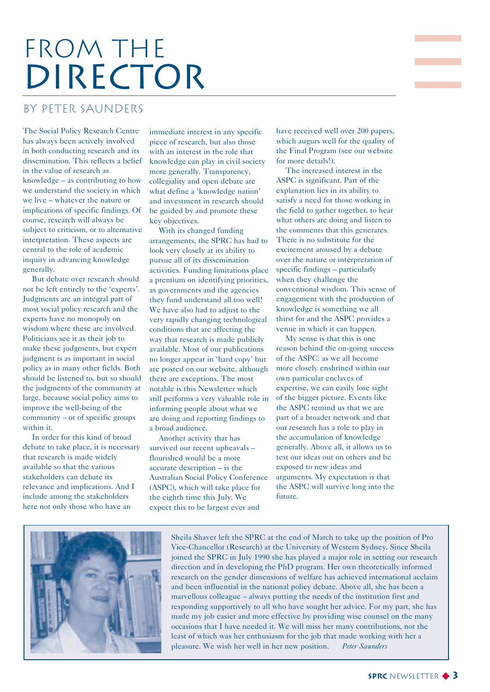## FROM THE DIRECTOR

#### by Peter Saunders

The Social Policy Research Centre has always been actively involved in both conducting research and its dissemination. This reflects a belief in the value of research as knowledge – as contributing to how we understand the society in which we live – whatever the nature or implications of specific findings. Of course, research will always be subject to criticism, or to alternative interpretation. These aspects are central to the role of academic inquiry in advancing knowledge generally.

But debate over research should not be left entirely to the 'experts'. Judgments are an integral part of most social policy research and the experts have no monopoly on wisdom where these are involved. Politicians see it as their job to make these judgments, but expert judgment is as important in social policy as in many other fields. Both should be listened to, but so should the judgments of the community at large, because social policy aims to improve the well-being of the community – or of specific groups within it.

In order for this kind of broad debate to take place, it is necessary that research is made widely available so that the various stakeholders can debate its relevance and implications. And I include among the stakeholders here not only those who have an

immediate interest in any specific piece of research, but also those with an interest in the role that knowledge can play in civil society more generally. Transparency, collegiality and open debate are what define a 'knowledge nation' and investment in research should be guided by and promote these key objectives.

With its changed funding arrangements, the SPRC has had to look very closely at its ability to pursue all of its dissemination activities. Funding limitations place a premium on identifying priorities, as governments and the agencies they fund understand all too well! We have also had to adjust to the very rapidly changing technological conditions that are affecting the way that research is made publicly available. Most of our publications no longer appear in 'hard copy' but are posted on our website, although there are exceptions. The most notable is this Newsletter which still performs a very valuable role in informing people about what we are doing and reporting findings to a broad audience.

Another activity that has survived our recent upheavals – flourished would be a more accurate description – is the Australian Social Policy Conference (ASPC), which will take place for the eighth time this July. We expect this to be largest ever and

have received well over 200 papers, which augurs well for the quality of the Final Program (see our website for more details!).

The increased interest in the ASPC is significant. Part of the explanation lies in its ability to satisfy a need for those working in the field to gather together, to hear what others are doing and listen to the comments that this generates. There is no substitute for the excitement aroused by a debate over the nature or interpretation of specific findings – particularly when they challenge the conventional wisdom. This sense of engagement with the production of knowledge is something we all thirst for and the ASPC provides a venue in which it can happen.

My sense is that this is one reason behind the on-going success of the ASPC: as we all become more closely enshrined within our own particular enclaves of expertise, we can easily lose sight of the bigger picture. Events like the ASPC remind us that we are part of a broader network and that our research has a role to play in the accumulation of knowledge generally. Above all, it allows us to test our ideas out on others and be exposed to new ideas and arguments. My expectation is that the ASPC will survive long into the future.



Sheila Shaver left the SPRC at the end of March to take up the position of Pro Vice-Chancellor (Research) at the University of Western Sydney. Since Sheila joined the SPRC in July 1990 she has played a major role in setting our research direction and in developing the PhD program. Her own theoretically informed research on the gender dimensions of welfare has achieved international acclaim and been influential in the national policy debate. Above all, she has been a marvellous colleague – always putting the needs of the institution first and responding supportively to all who have sought her advice. For my part, she has made my job easier and more effective by providing wise counsel on the many occasions that I have needed it. We will miss her many contributions, not the least of which was her enthusiasm for the job that made working with her a pleasure. We wish her well in her new position. *Peter Saunders*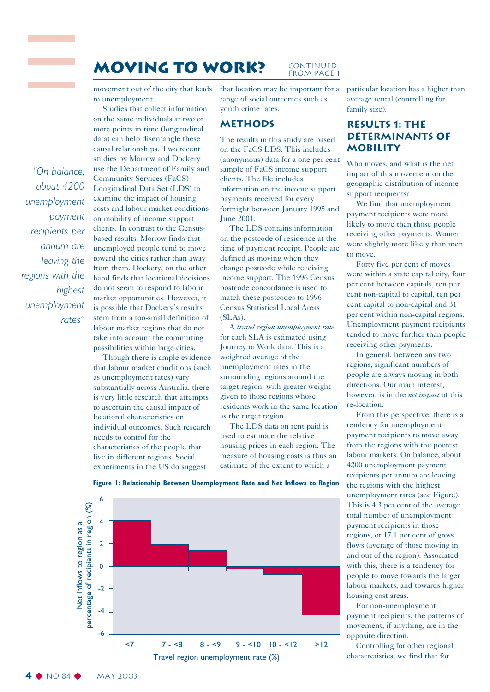#### **MOVING TO WORK?** CONTINUED FROM PAGE 1

movement out of the city that leads to unemployment.

Studies that collect information on the same individuals at two or more points in time (longitudinal data) can help disentangle these causal relationships. Two recent studies by Morrow and Dockery use the Department of Family and Community Services (FaCS) Longitudinal Data Set (LDS) to examine the impact of housing costs and labour market conditions on mobility of income support clients. In contrast to the Censusbased results, Morrow finds that unemployed people tend to move toward the cities rather than away from them. Dockery, on the other hand finds that locational decisions do not seem to respond to labour market opportunities. However, it is possible that Dockery's results stem from a too-small definition of labour market regions that do not take into account the commuting possibilities within large cities.

*"On balance, about 4200*

*unemployment*

*recipients per annum are leaving the*

*regions with the*

*unemployment*

*payment*

*highest*

*rates"*

Though there is ample evidence that labour market conditions (such as unemployment rates) vary substantially across Australia, there is very little research that attempts to ascertain the causal impact of locational characteristics on individual outcomes. Such research needs to control for the characteristics of the people that live in different regions. Social experiments in the US do suggest

that location may be important for a range of social outcomes such as youth crime rates.

#### **Methods**

The results in this study are based on the FaCS LDS. This includes (anonymous) data for a one per cent sample of FaCS income support clients. The file includes information on the income support payments received for every fortnight between January 1995 and June 2001.

The LDS contains information on the postcode of residence at the time of payment receipt. People are defined as moving when they change postcode while receiving income support. The 1996 Census postcode concordance is used to match these postcodes to 1996 Census Statistical Local Areas (SLAs).

A *travel region unemployment rate* for each SLA is estimated using Journey to Work data. This is a weighted average of the unemployment rates in the surrounding regions around the target region, with greater weight given to those regions whose residents work in the same location as the target region.

The LDS data on rent paid is used to estimate the relative housing prices in each region. The measure of housing costs is thus an estimate of the extent to which a

particular location has a higher than average rental (controlling for family size).

#### **Results 1: The Determinants of Mobility**

Who moves, and what is the net impact of this movement on the geographic distribution of income support recipients?

We find that unemployment payment recipients were more likely to move than those people receiving other payments. Women were slightly more likely than men to move.

Forty five per cent of moves were within a state capital city, four per cent between capitals, ten per cent non-capital to capital, ten per cent capital to non-capital and 31 per cent within non-capital regions. Unemployment payment recipients tended to move further than people receiving other payments.

In general, between any two regions, significant numbers of people are always moving in both directions. Our main interest, however, is in the *net impact* of this re-location.

From this perspective, there is a tendency for unemployment payment recipients to move away from the regions with the poorest labour markets. On balance, about 4200 unemployment payment recipients per annum are leaving the regions with the highest unemployment rates (see Figure). This is 4.3 per cent of the average total number of unemployment payment recipients in those regions, or 17.1 per cent of gross flows (average of those moving in and out of the region). Associated with this, there is a tendency for people to move towards the larger labour markets, and towards higher housing cost areas.

For non-unemployment payment recipients, the patterns of movement, if anything, are in the opposite direction.

Controlling for other regional characteristics, we find that for





#### **4** ◆ No 84 ◆ MAY 2003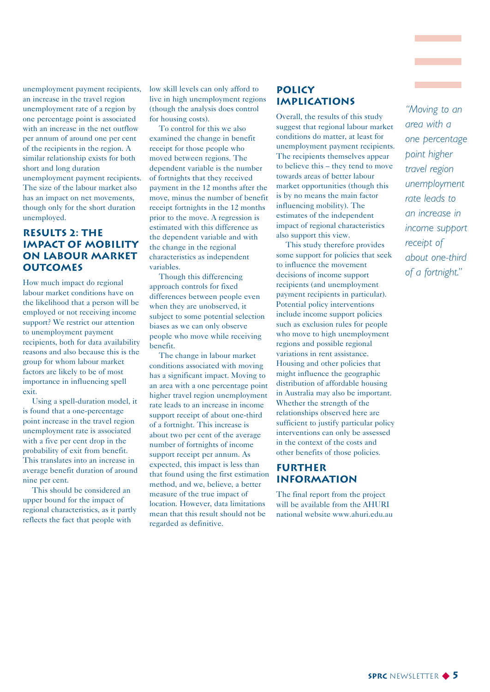unemployment payment recipients, an increase in the travel region unemployment rate of a region by one percentage point is associated with an increase in the net outflow per annum of around one per cent of the recipients in the region. A similar relationship exists for both short and long duration unemployment payment recipients. The size of the labour market also has an impact on net movements, though only for the short duration unemployed.

#### **Results 2: The Impact of Mobility on Labour Market Outcomes**

How much impact do regional labour market conditions have on the likelihood that a person will be employed or not receiving income support? We restrict our attention to unemployment payment recipients, both for data availability reasons and also because this is the group for whom labour market factors are likely to be of most importance in influencing spell exit.

Using a spell-duration model, it is found that a one-percentage point increase in the travel region unemployment rate is associated with a five per cent drop in the probability of exit from benefit. This translates into an increase in average benefit duration of around nine per cent.

This should be considered an upper bound for the impact of regional characteristics, as it partly reflects the fact that people with

low skill levels can only afford to live in high unemployment regions (though the analysis does control for housing costs).

To control for this we also examined the change in benefit receipt for those people who moved between regions. The dependent variable is the number of fortnights that they received payment in the 12 months after the move, minus the number of benefit receipt fortnights in the 12 months prior to the move. A regression is estimated with this difference as the dependent variable and with the change in the regional characteristics as independent variables.

Though this differencing approach controls for fixed differences between people even when they are unobserved, it subject to some potential selection biases as we can only observe people who move while receiving benefit.

The change in labour market conditions associated with moving has a significant impact. Moving to an area with a one percentage point higher travel region unemployment rate leads to an increase in income support receipt of about one-third of a fortnight. This increase is about two per cent of the average number of fortnights of income support receipt per annum. As expected, this impact is less than that found using the first estimation method, and we, believe, a better measure of the true impact of location. However, data limitations mean that this result should not be regarded as definitive.

#### **Policy Implications**

Overall, the results of this study suggest that regional labour market conditions do matter, at least for unemployment payment recipients. The recipients themselves appear to believe this – they tend to move towards areas of better labour market opportunities (though this is by no means the main factor influencing mobility). The estimates of the independent impact of regional characteristics also support this view.

This study therefore provides some support for policies that seek to influence the movement decisions of income support recipients (and unemployment payment recipients in particular). Potential policy interventions include income support policies such as exclusion rules for people who move to high unemployment regions and possible regional variations in rent assistance. Housing and other policies that might influence the geographic distribution of affordable housing in Australia may also be important. Whether the strength of the relationships observed here are sufficient to justify particular policy interventions can only be assessed in the context of the costs and other benefits of those policies.

#### **Further Information**

The final report from the project will be available from the AHURI national website www.ahuri.edu.au

*"Moving to an area with a one percentage point higher travel region unemployment rate leads to an increase in income support receipt of about one-third of a fortnight."*

**Contract Contract Contract**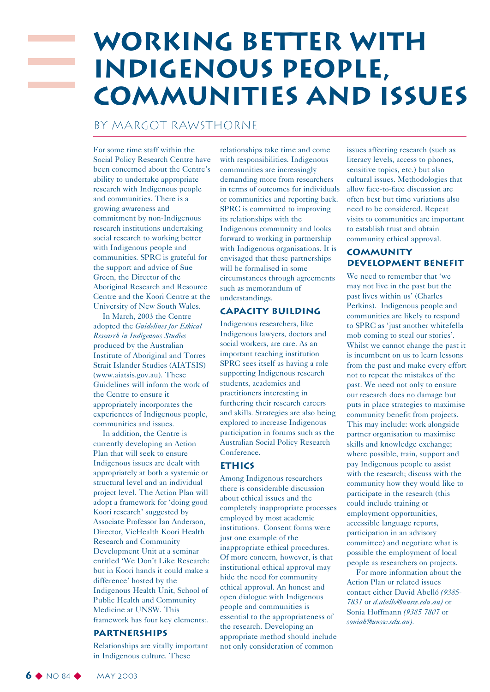## **Working better with Indigenous people, communities and issues**

#### By Margot Rawsthorne

For some time staff within the Social Policy Research Centre have been concerned about the Centre's ability to undertake appropriate research with Indigenous people and communities. There is a growing awareness and commitment by non-Indigenous research institutions undertaking social research to working better with Indigenous people and communities. SPRC is grateful for the support and advice of Sue Green, the Director of the Aboriginal Research and Resource Centre and the Koori Centre at the University of New South Wales.

In March, 2003 the Centre adopted the *Guidelines for Ethical Research in Indigenous Studies* produced by the Australian Institute of Aboriginal and Torres Strait Islander Studies (AIATSIS) (www.aiatsis.gov.au). These Guidelines will inform the work of the Centre to ensure it appropriately incorporates the experiences of Indigenous people, communities and issues.

In addition, the Centre is currently developing an Action Plan that will seek to ensure Indigenous issues are dealt with appropriately at both a systemic or structural level and an individual project level. The Action Plan will adopt a framework for 'doing good Koori research' suggested by Associate Professor Ian Anderson, Director, VicHealth Koori Health Research and Community Development Unit at a seminar entitled 'We Don't Like Research: but in Koori hands it could make a difference' hosted by the Indigenous Health Unit, School of Public Health and Community Medicine at UNSW. This framework has four key elements:.

#### **Partnerships**

Relationships are vitally important in Indigenous culture. These

relationships take time and come with responsibilities. Indigenous communities are increasingly demanding more from researchers in terms of outcomes for individuals or communities and reporting back. SPRC is committed to improving its relationships with the Indigenous community and looks forward to working in partnership with Indigenous organisations. It is envisaged that these partnerships will be formalised in some circumstances through agreements such as memorandum of understandings.

#### **Capacity building**

Indigenous researchers, like Indigenous lawyers, doctors and social workers, are rare. As an important teaching institution SPRC sees itself as having a role supporting Indigenous research students, academics and practitioners interesting in furthering their research careers and skills. Strategies are also being explored to increase Indigenous participation in forums such as the Australian Social Policy Research Conference.

#### **Ethics**

Among Indigenous researchers there is considerable discussion about ethical issues and the completely inappropriate processes employed by most academic institutions. Consent forms were just one example of the inappropriate ethical procedures. Of more concern, however, is that institutional ethical approval may hide the need for community ethical approval. An honest and open dialogue with Indigenous people and communities is essential to the appropriateness of the research. Developing an appropriate method should include not only consideration of common

issues affecting research (such as literacy levels, access to phones, sensitive topics, etc.) but also cultural issues. Methodologies that allow face-to-face discussion are often best but time variations also need to be considered. Repeat visits to communities are important to establish trust and obtain community ethical approval.

#### **Community development benefit**

We need to remember that 'we may not live in the past but the past lives within us' (Charles Perkins). Indigenous people and communities are likely to respond to SPRC as 'just another whitefella mob coming to steal our stories'. Whilst we cannot change the past it is incumbent on us to learn lessons from the past and make every effort not to repeat the mistakes of the past. We need not only to ensure our research does no damage but puts in place strategies to maximise community benefit from projects. This may include: work alongside partner organisation to maximise skills and knowledge exchange; where possible, train, support and pay Indigenous people to assist with the research; discuss with the community how they would like to participate in the research (this could include training or employment opportunities, accessible language reports, participation in an advisory committee) and negotiate what is possible the employment of local people as researchers on projects.

For more information about the Action Plan or related issues contact either David Abelló *(9385- 7831* or *d.abello@unsw.edu.au)* or Sonia Hoffmann *(9385 7807* or *soniah@unsw.edu.au)*.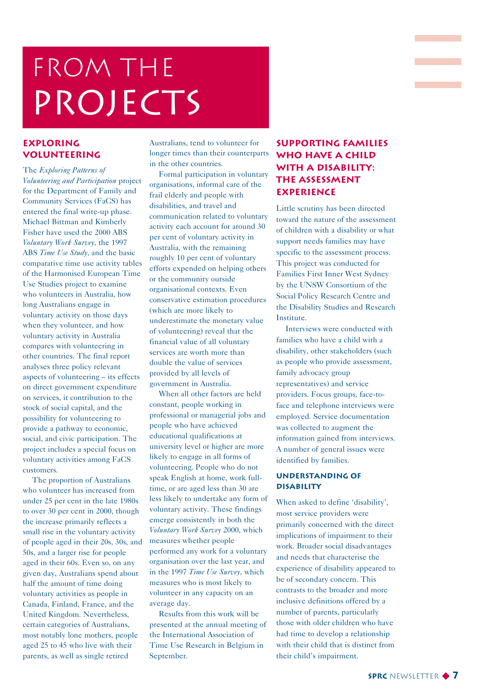## FROM THE PROJECTS

#### **Exploring Volunteering**

The *Exploring Patterns of Volunteering and Participation* project for the Department of Family and Community Services (FaCS) has entered the final write-up phase. Michael Bittman and Kimberly Fisher have used the 2000 ABS *Voluntary Work Survey*, the 1997 ABS *Time Use Study*, and the basic comparative time use activity tables of the Harmonised European Time Use Studies project to examine who volunteers in Australia, how long Australians engage in voluntary activity on those days when they volunteer, and how voluntary activity in Australia compares with volunteering in other countries. The final report analyses three policy relevant aspects of volunteering – its effects on direct government expenditure on services, it contribution to the stock of social capital, and the possibility for volunteering to provide a pathway to economic, social, and civic participation. The project includes a special focus on voluntary activities among FaCS customers.

The proportion of Australians who volunteer has increased from under 25 per cent in the late 1980s to over 30 per cent in 2000, though the increase primarily reflects a small rise in the voluntary activity of people aged in their 20s, 30s, and 50s, and a larger rise for people aged in their 60s. Even so, on any given day, Australians spend about half the amount of time doing voluntary activities as people in Canada, Finland, France, and the United Kingdom. Nevertheless, certain categories of Australians, most notably lone mothers, people aged 25 to 45 who live with their parents, as well as single retired

Australians, tend to volunteer for longer times than their counterparts in the other countries.

Formal participation in voluntary organisations, informal care of the frail elderly and people with disabilities, and travel and communication related to voluntary activity each account for around 30 per cent of voluntary activity in Australia, with the remaining roughly 10 per cent of voluntary efforts expended on helping others or the community outside organisational contexts. Even conservative estimation procedures (which are more likely to underestimate the monetary value of volunteering) reveal that the financial value of all voluntary services are worth more than double the value of services provided by all levels of government in Australia.

When all other factors are held constant, people working in professional or managerial jobs and people who have achieved educational qualifications at university level or higher are more likely to engage in all forms of volunteering. People who do not speak English at home, work fulltime, or are aged less than 30 are less likely to undertake any form of voluntary activity. These findings emerge consistently in both the *Voluntary Work Survey* 2000, which measures whether people performed any work for a voluntary organisation over the last year, and in the 1997 *Time Use Survey,* which measures who is most likely to volunteer in any capacity on an average day.

Results from this work will be presented at the annual meeting of the International Association of Time Use Research in Belgium in September.

#### **Supporting Families who have a Child with a Disability: The Assessment Experience**

**Contract Contract** 

Little scrutiny has been directed toward the nature of the assessment of children with a disability or what support needs families may have specific to the assessment process. This project was conducted for Families First Inner West Sydney by the UNSW Consortium of the Social Policy Research Centre and the Disability Studies and Research Institute.

Interviews were conducted with families who have a child with a disability, other stakeholders (such as people who provide assessment, family advocacy group representatives) and service providers. Focus groups, face-toface and telephone interviews were employed. Service documentation was collected to augment the information gained from interviews. A number of general issues were identified by families.

#### **Understanding of disability**

When asked to define 'disability', most service providers were primarily concerned with the direct implications of impairment to their work. Broader social disadvantages and needs that characterise the experience of disability appeared to be of secondary concern. This contrasts to the broader and more inclusive definitions offered by a number of parents, particularly those with older children who have had time to develop a relationship with their child that is distinct from their child's impairment.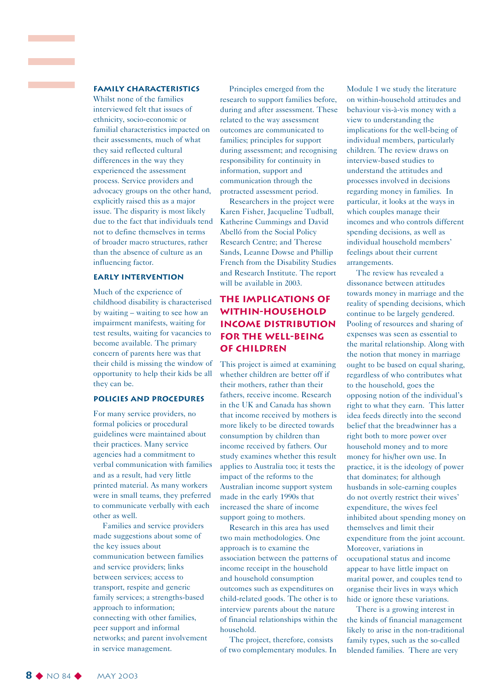#### **Family characteristics**

an an Salaman.<br>Tagairtí

Whilst none of the families interviewed felt that issues of ethnicity, socio-economic or familial characteristics impacted on their assessments, much of what they said reflected cultural differences in the way they experienced the assessment process. Service providers and advocacy groups on the other hand, explicitly raised this as a major issue. The disparity is most likely due to the fact that individuals tend not to define themselves in terms of broader macro structures, rather than the absence of culture as an influencing factor.

#### **Early intervention**

Much of the experience of childhood disability is characterised by waiting – waiting to see how an impairment manifests, waiting for test results, waiting for vacancies to become available. The primary concern of parents here was that their child is missing the window of opportunity to help their kids be all they can be.

#### **Policies and procedures**

For many service providers, no formal policies or procedural guidelines were maintained about their practices. Many service agencies had a commitment to verbal communication with families and as a result, had very little printed material. As many workers were in small teams, they preferred to communicate verbally with each other as well.

Families and service providers made suggestions about some of the key issues about communication between families and service providers; links between services; access to transport, respite and generic family services; a strengths-based approach to information; connecting with other families, peer support and informal networks; and parent involvement in service management.

Principles emerged from the research to support families before, during and after assessment. These related to the way assessment outcomes are communicated to families; principles for support during assessment; and recognising responsibility for continuity in information, support and communication through the protracted assessment period.

Researchers in the project were Karen Fisher, Jacqueline Tudball, Katherine Cummings and David Abelló from the Social Policy Research Centre; and Therese Sands, Leanne Dowse and Phillip French from the Disability Studies and Research Institute. The report will be available in 2003.

#### **The Implications of Within-Household Income Distribution for the Well-being of Children**

This project is aimed at examining whether children are better off if their mothers, rather than their fathers, receive income. Research in the UK and Canada has shown that income received by mothers is more likely to be directed towards consumption by children than income received by fathers. Our study examines whether this result applies to Australia too; it tests the impact of the reforms to the Australian income support system made in the early 1990s that increased the share of income support going to mothers.

Research in this area has used two main methodologies. One approach is to examine the association between the patterns of income receipt in the household and household consumption outcomes such as expenditures on child-related goods. The other is to interview parents about the nature of financial relationships within the household.

The project, therefore, consists of two complementary modules. In

Module 1 we study the literature on within-household attitudes and behaviour vis-à-vis money with a view to understanding the implications for the well-being of individual members, particularly children. The review draws on interview-based studies to understand the attitudes and processes involved in decisions regarding money in families. In particular, it looks at the ways in which couples manage their incomes and who controls different spending decisions, as well as individual household members' feelings about their current arrangements.

The review has revealed a dissonance between attitudes towards money in marriage and the reality of spending decisions, which continue to be largely gendered. Pooling of resources and sharing of expenses was seen as essential to the marital relationship. Along with the notion that money in marriage ought to be based on equal sharing, regardless of who contributes what to the household, goes the opposing notion of the individual's right to what they earn. This latter idea feeds directly into the second belief that the breadwinner has a right both to more power over household money and to more money for his/her own use. In practice, it is the ideology of power that dominates; for although husbands in sole-earning couples do not overtly restrict their wives' expenditure, the wives feel inhibited about spending money on themselves and limit their expenditure from the joint account. Moreover, variations in occupational status and income appear to have little impact on marital power, and couples tend to organise their lives in ways which hide or ignore these variations.

There is a growing interest in the kinds of financial management likely to arise in the non-traditional family types, such as the so-called blended families. There are very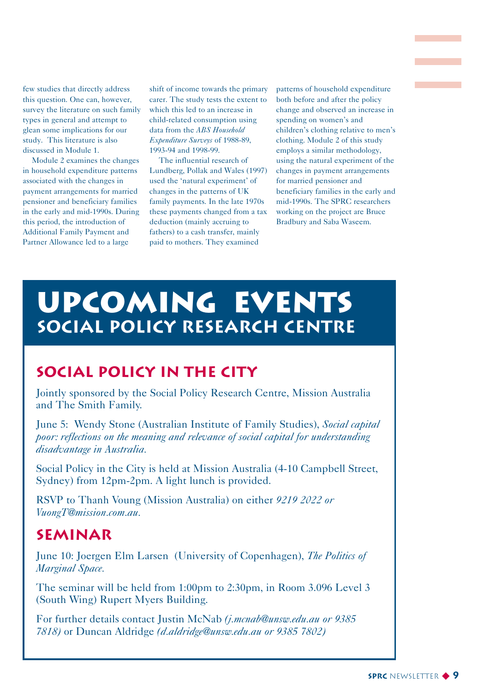few studies that directly address this question. One can, however, survey the literature on such family types in general and attempt to glean some implications for our study. This literature is also discussed in Module 1.

Module 2 examines the changes in household expenditure patterns associated with the changes in payment arrangements for married pensioner and beneficiary families in the early and mid-1990s. During this period, the introduction of Additional Family Payment and Partner Allowance led to a large

shift of income towards the primary carer. The study tests the extent to which this led to an increase in child-related consumption using data from the *ABS Household Expenditure Surveys* of 1988-89, 1993-94 and 1998-99.

The influential research of Lundberg, Pollak and Wales (1997) used the 'natural experiment' of changes in the patterns of UK family payments. In the late 1970s these payments changed from a tax deduction (mainly accruing to fathers) to a cash transfer, mainly paid to mothers. They examined

patterns of household expenditure both before and after the policy change and observed an increase in spending on women's and children's clothing relative to men's clothing. Module 2 of this study employs a similar methodology, using the natural experiment of the changes in payment arrangements for married pensioner and beneficiary families in the early and mid-1990s. The SPRC researchers working on the project are Bruce Bradbury and Saba Waseem.

## **UPCOMING EVENTS SOCIAL POLICY RESEARCH CENTRE**

## **Social policy in the City**

Jointly sponsored by the Social Policy Research Centre, Mission Australia and The Smith Family.

June 5: Wendy Stone (Australian Institute of Family Studies), *Social capital poor: reflections on the meaning and relevance of social capital for understanding disadvantage in Australia.*

Social Policy in the City is held at Mission Australia (4-10 Campbell Street, Sydney) from 12pm-2pm. A light lunch is provided.

RSVP to Thanh Voung (Mission Australia) on either *9219 2022 or VuongT@mission.com.au.*

### **Seminar**

June 10: Joergen Elm Larsen (University of Copenhagen), *The Politics of Marginal Space.*

The seminar will be held from 1:00pm to 2:30pm, in Room 3.096 Level 3 (South Wing) Rupert Myers Building.

For further details contact Justin McNab *(j.mcnab@unsw.edu.au or 9385 7818)* or Duncan Aldridge *(d.aldridge@unsw.edu.au or 9385 7802)*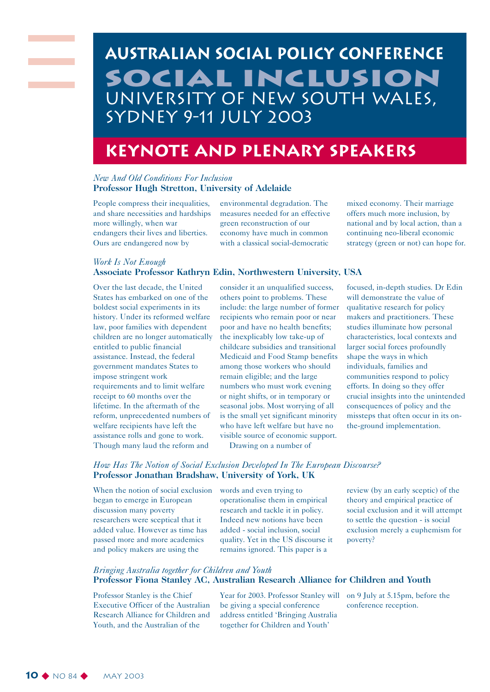## **Australian social policy conference SOCIAL inclusion** University of New South Wales, Sydney 9-11 July 2003

## **Keynote and Plenary Speakers**

#### *New And Old Conditions For Inclusion* **Professor Hugh Stretton, University of Adelaide**

People compress their inequalities, and share necessities and hardships more willingly, when war endangers their lives and liberties. Ours are endangered now by

*Work Is Not Enough*

environmental degradation. The measures needed for an effective green reconstruction of our economy have much in common with a classical social-democratic

mixed economy. Their marriage offers much more inclusion, by national and by local action, than a continuing neo-liberal economic strategy (green or not) can hope for.

#### Over the last decade, the United States has embarked on one of the boldest social experiments in its history. Under its reformed welfare law, poor families with dependent children are no longer automatically entitled to public financial assistance. Instead, the federal government mandates States to impose stringent work requirements and to limit welfare receipt to 60 months over the lifetime. In the aftermath of the reform, unprecedented numbers of welfare recipients have left the assistance rolls and gone to work. Though many laud the reform and

consider it an unqualified success, others point to problems. These include: the large number of former recipients who remain poor or near poor and have no health benefits; the inexplicably low take-up of childcare subsidies and transitional Medicaid and Food Stamp benefits among those workers who should remain eligible; and the large numbers who must work evening or night shifts, or in temporary or seasonal jobs. Most worrying of all is the small yet significant minority who have left welfare but have no visible source of economic support.

Drawing on a number of

focused, in-depth studies. Dr Edin will demonstrate the value of qualitative research for policy makers and practitioners. These studies illuminate how personal characteristics, local contexts and larger social forces profoundly shape the ways in which individuals, families and communities respond to policy efforts. In doing so they offer crucial insights into the unintended consequences of policy and the missteps that often occur in its onthe-ground implementation.

#### *How Has The Notion of Social Exclusion Developed In The European Discourse?* **Professor Jonathan Bradshaw, University of York, UK**

**Associate Professor Kathryn Edin, Northwestern University, USA**

When the notion of social exclusion words and even trying to began to emerge in European discussion many poverty researchers were sceptical that it added value. However as time has passed more and more academics and policy makers are using the

operationalise them in empirical research and tackle it in policy. Indeed new notions have been added - social inclusion, social quality. Yet in the US discourse it remains ignored. This paper is a

review (by an early sceptic) of the theory and empirical practice of social exclusion and it will attempt to settle the question - is social exclusion merely a euphemism for poverty?

#### *Bringing Australia together for Children and Youth* **Professor Fiona Stanley AC, Australian Research Alliance for Children and Youth**

Professor Stanley is the Chief Executive Officer of the Australian Research Alliance for Children and Youth, and the Australian of the

Year for 2003. Professor Stanley will be giving a special conference address entitled 'Bringing Australia together for Children and Youth'

on 9 July at 5.15pm, before the conference reception.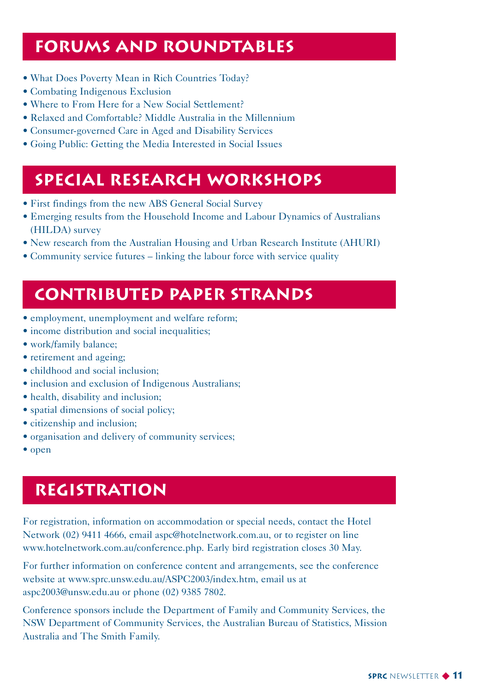## **Forums and Roundtables**

- What Does Poverty Mean in Rich Countries Today?
- Combating Indigenous Exclusion
- Where to From Here for a New Social Settlement?
- Relaxed and Comfortable? Middle Australia in the Millennium
- Consumer-governed Care in Aged and Disability Services
- Going Public: Getting the Media Interested in Social Issues

## **Special Research Workshops**

- First findings from the new ABS General Social Survey
- Emerging results from the Household Income and Labour Dynamics of Australians (HILDA) survey
- New research from the Australian Housing and Urban Research Institute (AHURI)
- Community service futures linking the labour force with service quality

## **Contributed Paper Strands**

- employment, unemployment and welfare reform;
- income distribution and social inequalities;
- work/family balance;
- retirement and ageing;
- childhood and social inclusion:
- inclusion and exclusion of Indigenous Australians;
- health, disability and inclusion;
- spatial dimensions of social policy;
- citizenship and inclusion;
- organisation and delivery of community services;
- open

## **Registration**

For registration, information on accommodation or special needs, contact the Hotel Network (02) 9411 4666, email aspc@hotelnetwork.com.au, or to register on line www.hotelnetwork.com.au/conference.php. Early bird registration closes 30 May.

For further information on conference content and arrangements, see the conference website at www.sprc.unsw.edu.au/ASPC2003/index.htm, email us at aspc2003@unsw.edu.au or phone (02) 9385 7802.

Conference sponsors include the Department of Family and Community Services, the NSW Department of Community Services, the Australian Bureau of Statistics, Mission Australia and The Smith Family.